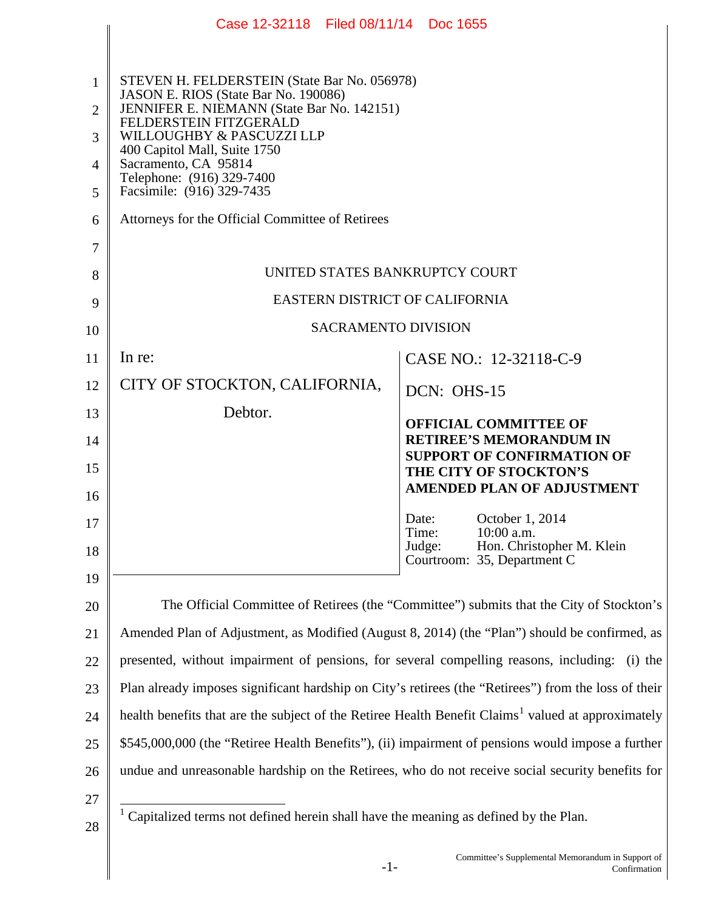|                | Case 12-32118 Filed 08/11/14 Doc 1655                                                                                                                                                                                     |                                                                     |  |
|----------------|---------------------------------------------------------------------------------------------------------------------------------------------------------------------------------------------------------------------------|---------------------------------------------------------------------|--|
|                |                                                                                                                                                                                                                           |                                                                     |  |
| 1              | STEVEN H. FELDERSTEIN (State Bar No. 056978)<br>JASON E. RIOS (State Bar No. 190086)<br>JENNIFER E. NIEMANN (State Bar No. 142151)<br>FELDERSTEIN FITZGERALD<br>WILLOUGHBY & PASCUZZI LLP<br>400 Capitol Mall, Suite 1750 |                                                                     |  |
| 2              |                                                                                                                                                                                                                           |                                                                     |  |
| 3              |                                                                                                                                                                                                                           |                                                                     |  |
| $\overline{4}$ | Sacramento, CA 95814<br>Telephone: (916) 329-7400                                                                                                                                                                         |                                                                     |  |
| 5              | Facsimile: (916) 329-7435                                                                                                                                                                                                 |                                                                     |  |
| 6              | Attorneys for the Official Committee of Retirees                                                                                                                                                                          |                                                                     |  |
| 7              |                                                                                                                                                                                                                           |                                                                     |  |
| 8              | UNITED STATES BANKRUPTCY COURT                                                                                                                                                                                            |                                                                     |  |
| 9              | EASTERN DISTRICT OF CALIFORNIA                                                                                                                                                                                            |                                                                     |  |
| 10             | <b>SACRAMENTO DIVISION</b>                                                                                                                                                                                                |                                                                     |  |
| 11             | In re:                                                                                                                                                                                                                    | CASE NO.: 12-32118-C-9                                              |  |
| 12             | CITY OF STOCKTON, CALIFORNIA,                                                                                                                                                                                             | DCN: OHS-15                                                         |  |
| 13             | Debtor.                                                                                                                                                                                                                   | <b>OFFICIAL COMMITTEE OF</b>                                        |  |
| 14             |                                                                                                                                                                                                                           | <b>RETIREE'S MEMORANDUM IN</b><br><b>SUPPORT OF CONFIRMATION OF</b> |  |
| 15<br>16       |                                                                                                                                                                                                                           | THE CITY OF STOCKTON'S<br><b>AMENDED PLAN OF ADJUSTMENT</b>         |  |
| 17             |                                                                                                                                                                                                                           | Date:<br>October 1, 2014                                            |  |
| 18             |                                                                                                                                                                                                                           | 10:00 a.m.<br>Time:<br>Hon. Christopher M. Klein<br>Judge:          |  |
| 19             |                                                                                                                                                                                                                           | Courtroom: 35, Department C                                         |  |
| 20             | The Official Committee of Retirees (the "Committee") submits that the City of Stockton's                                                                                                                                  |                                                                     |  |
| 21             | Amended Plan of Adjustment, as Modified (August 8, 2014) (the "Plan") should be confirmed, as                                                                                                                             |                                                                     |  |
| 22             | presented, without impairment of pensions, for several compelling reasons, including:<br>$(i)$ the                                                                                                                        |                                                                     |  |
| 23             | Plan already imposes significant hardship on City's retirees (the "Retirees") from the loss of their                                                                                                                      |                                                                     |  |
| 24             | health benefits that are the subject of the Retiree Health Benefit Claims <sup>1</sup> valued at approximately                                                                                                            |                                                                     |  |
| 25             | \$545,000,000 (the "Retiree Health Benefits"), (ii) impairment of pensions would impose a further                                                                                                                         |                                                                     |  |
| 26             | undue and unreasonable hardship on the Retirees, who do not receive social security benefits for                                                                                                                          |                                                                     |  |
| 27<br>28       | Capitalized terms not defined herein shall have the meaning as defined by the Plan.                                                                                                                                       |                                                                     |  |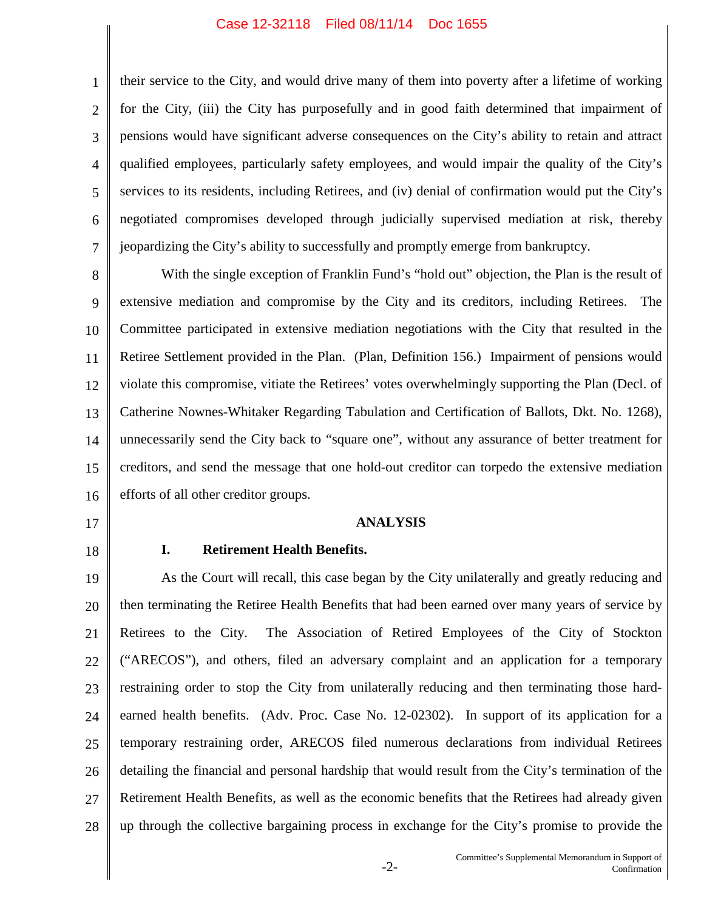1 2 3 4 5 6 7 their service to the City, and would drive many of them into poverty after a lifetime of working for the City, (iii) the City has purposefully and in good faith determined that impairment of pensions would have significant adverse consequences on the City's ability to retain and attract qualified employees, particularly safety employees, and would impair the quality of the City's services to its residents, including Retirees, and (iv) denial of confirmation would put the City's negotiated compromises developed through judicially supervised mediation at risk, thereby jeopardizing the City's ability to successfully and promptly emerge from bankruptcy.

8 9 10 11 12 13 14 15 16 With the single exception of Franklin Fund's "hold out" objection, the Plan is the result of extensive mediation and compromise by the City and its creditors, including Retirees. The Committee participated in extensive mediation negotiations with the City that resulted in the Retiree Settlement provided in the Plan. (Plan, Definition 156.) Impairment of pensions would violate this compromise, vitiate the Retirees' votes overwhelmingly supporting the Plan (Decl. of Catherine Nownes-Whitaker Regarding Tabulation and Certification of Ballots, Dkt. No. 1268), unnecessarily send the City back to "square one", without any assurance of better treatment for creditors, and send the message that one hold-out creditor can torpedo the extensive mediation efforts of all other creditor groups.

- 17
- 18

## **ANALYSIS**

## **I. Retirement Health Benefits.**

19 20 21 22 23 24 25 26 27 28 As the Court will recall, this case began by the City unilaterally and greatly reducing and then terminating the Retiree Health Benefits that had been earned over many years of service by Retirees to the City. The Association of Retired Employees of the City of Stockton ("ARECOS"), and others, filed an adversary complaint and an application for a temporary restraining order to stop the City from unilaterally reducing and then terminating those hardearned health benefits. (Adv. Proc. Case No. 12-02302). In support of its application for a temporary restraining order, ARECOS filed numerous declarations from individual Retirees detailing the financial and personal hardship that would result from the City's termination of the Retirement Health Benefits, as well as the economic benefits that the Retirees had already given up through the collective bargaining process in exchange for the City's promise to provide the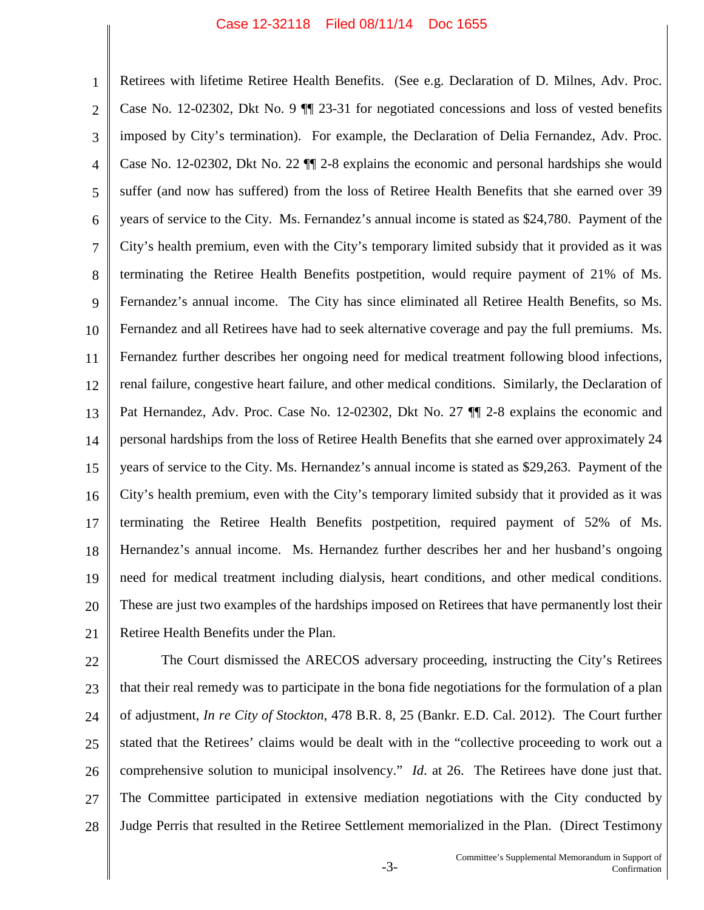1 2 3 4 5 6 7 8 9 10 11 12 13 14 15 16 17 18 19 20 21 Retirees with lifetime Retiree Health Benefits. (See e.g. Declaration of D. Milnes, Adv. Proc. Case No. 12-02302, Dkt No. 9 ¶¶ 23-31 for negotiated concessions and loss of vested benefits imposed by City's termination). For example, the Declaration of Delia Fernandez, Adv. Proc. Case No. 12-02302, Dkt No. 22 ¶¶ 2-8 explains the economic and personal hardships she would suffer (and now has suffered) from the loss of Retiree Health Benefits that she earned over 39 years of service to the City. Ms. Fernandez's annual income is stated as \$24,780. Payment of the City's health premium, even with the City's temporary limited subsidy that it provided as it was terminating the Retiree Health Benefits postpetition, would require payment of 21% of Ms. Fernandez's annual income. The City has since eliminated all Retiree Health Benefits, so Ms. Fernandez and all Retirees have had to seek alternative coverage and pay the full premiums. Ms. Fernandez further describes her ongoing need for medical treatment following blood infections, renal failure, congestive heart failure, and other medical conditions. Similarly, the Declaration of Pat Hernandez, Adv. Proc. Case No. 12-02302, Dkt No. 27  $\P$  2-8 explains the economic and personal hardships from the loss of Retiree Health Benefits that she earned over approximately 24 years of service to the City. Ms. Hernandez's annual income is stated as \$29,263. Payment of the City's health premium, even with the City's temporary limited subsidy that it provided as it was terminating the Retiree Health Benefits postpetition, required payment of 52% of Ms. Hernandez's annual income. Ms. Hernandez further describes her and her husband's ongoing need for medical treatment including dialysis, heart conditions, and other medical conditions. These are just two examples of the hardships imposed on Retirees that have permanently lost their Retiree Health Benefits under the Plan.

22 23 24 25 26 27 28 The Court dismissed the ARECOS adversary proceeding, instructing the City's Retirees that their real remedy was to participate in the bona fide negotiations for the formulation of a plan of adjustment, *In re City of Stockton*, 478 B.R. 8, 25 (Bankr. E.D. Cal. 2012). The Court further stated that the Retirees' claims would be dealt with in the "collective proceeding to work out a comprehensive solution to municipal insolvency." *Id*. at 26. The Retirees have done just that. The Committee participated in extensive mediation negotiations with the City conducted by Judge Perris that resulted in the Retiree Settlement memorialized in the Plan. (Direct Testimony

> -3- Committee's Supplemental Memorandum in Support of Confirmation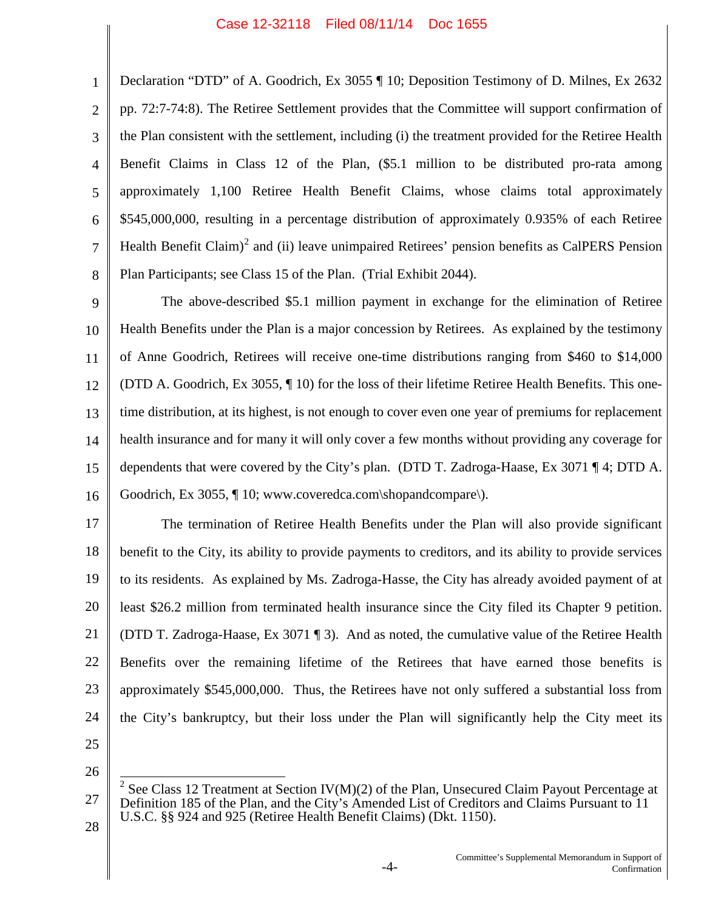1 2 3 4 5 6 7 8 Declaration "DTD" of A. Goodrich, Ex 3055 ¶ 10; Deposition Testimony of D. Milnes, Ex 2632 pp. 72:7-74:8). The Retiree Settlement provides that the Committee will support confirmation of the Plan consistent with the settlement, including (i) the treatment provided for the Retiree Health Benefit Claims in Class 12 of the Plan, (\$5.1 million to be distributed pro-rata among approximately 1,100 Retiree Health Benefit Claims, whose claims total approximately \$545,000,000, resulting in a percentage distribution of approximately 0.935% of each Retiree Health Benefit Claim)<sup>2</sup> and (ii) leave unimpaired Retirees' pension benefits as CalPERS Pension Plan Participants; see Class 15 of the Plan. (Trial Exhibit 2044).

9 10 11 12 13 14 15 16 The above-described \$5.1 million payment in exchange for the elimination of Retiree Health Benefits under the Plan is a major concession by Retirees. As explained by the testimony of Anne Goodrich, Retirees will receive one-time distributions ranging from \$460 to \$14,000 (DTD A. Goodrich, Ex 3055, ¶ 10) for the loss of their lifetime Retiree Health Benefits. This onetime distribution, at its highest, is not enough to cover even one year of premiums for replacement health insurance and for many it will only cover a few months without providing any coverage for dependents that were covered by the City's plan. (DTD T. Zadroga-Haase, Ex 3071 ¶ 4; DTD A. Goodrich, Ex 3055, ¶ 10; www.coveredca.com\shopandcompare\).

17 18 19 20 21 22 23 24 25 The termination of Retiree Health Benefits under the Plan will also provide significant benefit to the City, its ability to provide payments to creditors, and its ability to provide services to its residents. As explained by Ms. Zadroga-Hasse, the City has already avoided payment of at least \$26.2 million from terminated health insurance since the City filed its Chapter 9 petition. (DTD T. Zadroga-Haase, Ex 3071 ¶ 3). And as noted, the cumulative value of the Retiree Health Benefits over the remaining lifetime of the Retirees that have earned those benefits is approximately \$545,000,000. Thus, the Retirees have not only suffered a substantial loss from the City's bankruptcy, but their loss under the Plan will significantly help the City meet its

26

<sup>27</sup> 28 <sup>2</sup> See Class 12 Treatment at Section IV(M)(2) of the Plan, Unsecured Claim Payout Percentage at Definition 185 of the Plan, and the City's Amended List of Creditors and Claims Pursuant to 11 U.S.C. §§ 924 and 925 (Retiree Health Benefit Claims) (Dkt. 1150).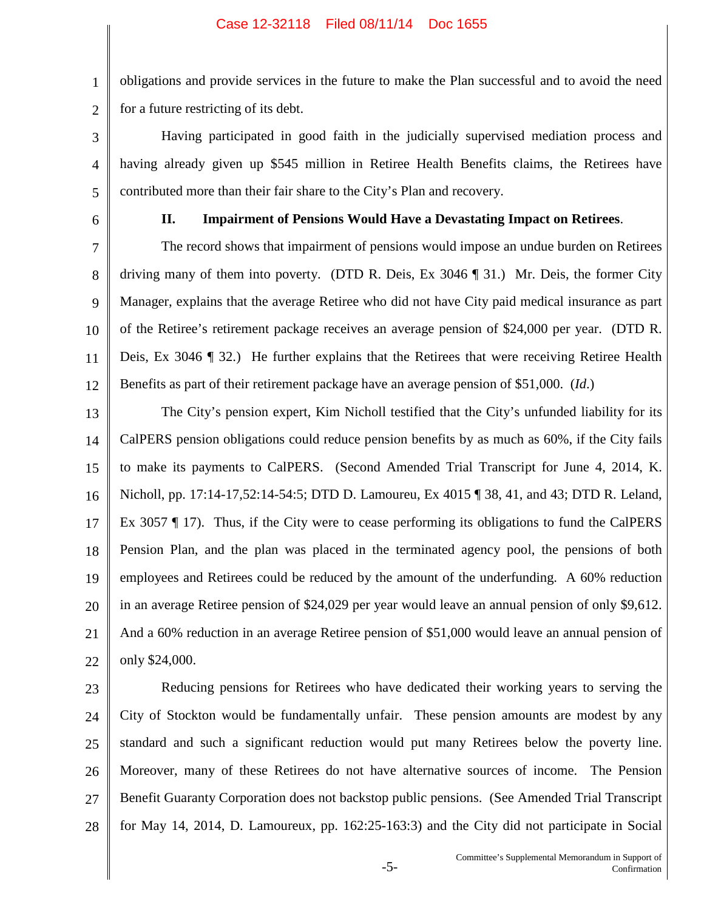obligations and provide services in the future to make the Plan successful and to avoid the need for a future restricting of its debt.

Having participated in good faith in the judicially supervised mediation process and having already given up \$545 million in Retiree Health Benefits claims, the Retirees have contributed more than their fair share to the City's Plan and recovery.

6

1

2

3

4

5

## **II. Impairment of Pensions Would Have a Devastating Impact on Retirees**.

7 8 9 10 11 12 The record shows that impairment of pensions would impose an undue burden on Retirees driving many of them into poverty. (DTD R. Deis, Ex 3046 ¶ 31.) Mr. Deis, the former City Manager, explains that the average Retiree who did not have City paid medical insurance as part of the Retiree's retirement package receives an average pension of \$24,000 per year. (DTD R. Deis, Ex 3046 ¶ 32.) He further explains that the Retirees that were receiving Retiree Health Benefits as part of their retirement package have an average pension of \$51,000. (*Id*.)

13 14 15 16 17 18 19 20 21 22 The City's pension expert, Kim Nicholl testified that the City's unfunded liability for its CalPERS pension obligations could reduce pension benefits by as much as 60%, if the City fails to make its payments to CalPERS. (Second Amended Trial Transcript for June 4, 2014, K. Nicholl, pp. 17:14-17,52:14-54:5; DTD D. Lamoureu, Ex 4015 ¶ 38, 41, and 43; DTD R. Leland, Ex 3057 ¶ 17). Thus, if the City were to cease performing its obligations to fund the CalPERS Pension Plan, and the plan was placed in the terminated agency pool, the pensions of both employees and Retirees could be reduced by the amount of the underfunding. A 60% reduction in an average Retiree pension of \$24,029 per year would leave an annual pension of only \$9,612. And a 60% reduction in an average Retiree pension of \$51,000 would leave an annual pension of only \$24,000.

23 24 25 26 27 28 Reducing pensions for Retirees who have dedicated their working years to serving the City of Stockton would be fundamentally unfair. These pension amounts are modest by any standard and such a significant reduction would put many Retirees below the poverty line. Moreover, many of these Retirees do not have alternative sources of income. The Pension Benefit Guaranty Corporation does not backstop public pensions. (See Amended Trial Transcript for May 14, 2014, D. Lamoureux, pp. 162:25-163:3) and the City did not participate in Social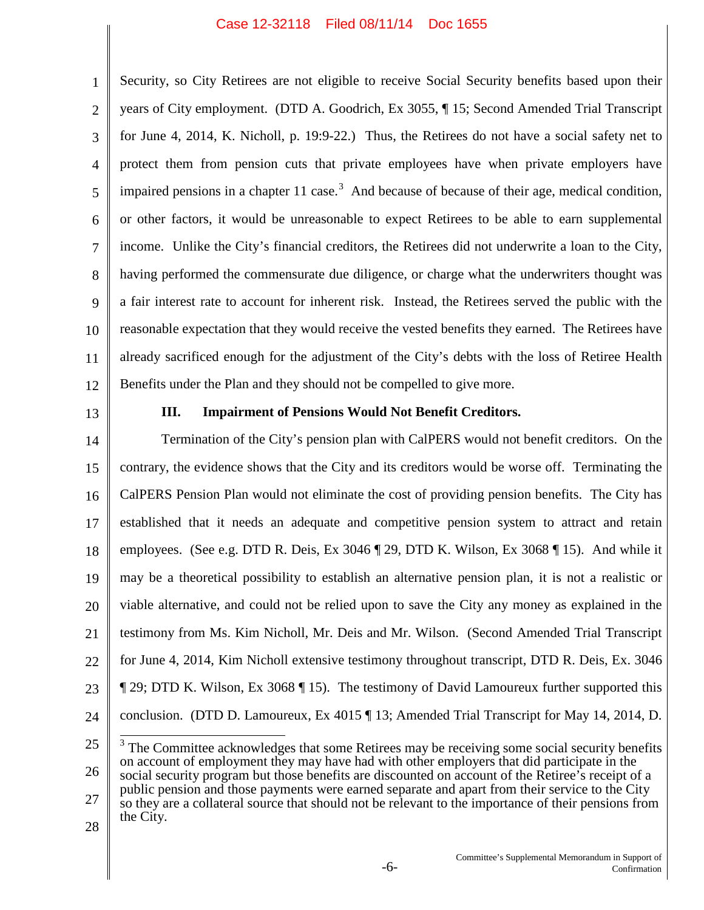1 2 3 4 5 6 7 8 9 10 11 12 Security, so City Retirees are not eligible to receive Social Security benefits based upon their years of City employment. (DTD A. Goodrich, Ex 3055, ¶ 15; Second Amended Trial Transcript for June 4, 2014, K. Nicholl, p. 19:9-22.) Thus, the Retirees do not have a social safety net to protect them from pension cuts that private employees have when private employers have impaired pensions in a chapter 11 case.<sup>3</sup> And because of because of their age, medical condition, or other factors, it would be unreasonable to expect Retirees to be able to earn supplemental income. Unlike the City's financial creditors, the Retirees did not underwrite a loan to the City, having performed the commensurate due diligence, or charge what the underwriters thought was a fair interest rate to account for inherent risk. Instead, the Retirees served the public with the reasonable expectation that they would receive the vested benefits they earned. The Retirees have already sacrificed enough for the adjustment of the City's debts with the loss of Retiree Health Benefits under the Plan and they should not be compelled to give more.

13

# **III. Impairment of Pensions Would Not Benefit Creditors.**

14 15 16 17 18 19 20 21 22 23 24 Termination of the City's pension plan with CalPERS would not benefit creditors. On the contrary, the evidence shows that the City and its creditors would be worse off. Terminating the CalPERS Pension Plan would not eliminate the cost of providing pension benefits. The City has established that it needs an adequate and competitive pension system to attract and retain employees. (See e.g. DTD R. Deis, Ex 3046 ¶ 29, DTD K. Wilson, Ex 3068 ¶ 15). And while it may be a theoretical possibility to establish an alternative pension plan, it is not a realistic or viable alternative, and could not be relied upon to save the City any money as explained in the testimony from Ms. Kim Nicholl, Mr. Deis and Mr. Wilson. (Second Amended Trial Transcript for June 4, 2014, Kim Nicholl extensive testimony throughout transcript, DTD R. Deis, Ex. 3046 ¶ 29; DTD K. Wilson, Ex 3068 ¶ 15). The testimony of David Lamoureux further supported this conclusion. (DTD D. Lamoureux, Ex 4015 ¶ 13; Amended Trial Transcript for May 14, 2014, D.

<sup>25</sup> 26 27 28  $3$  The Committee acknowledges that some Retirees may be receiving some social security benefits on account of employment they may have had with other employers that did participate in the social security program but those benefits are discounted on account of the Retiree's receipt of a public pension and those payments were earned separate and apart from their service to the City so they are a collateral source that should not be relevant to the importance of their pensions from the City.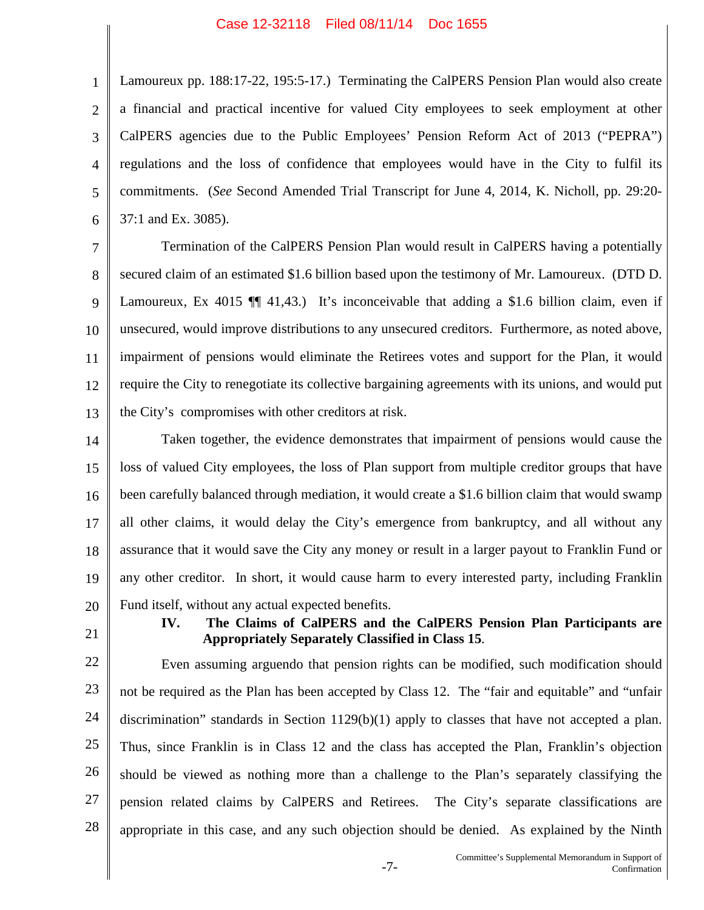1 2 3 4 5 6 Lamoureux pp. 188:17-22, 195:5-17.) Terminating the CalPERS Pension Plan would also create a financial and practical incentive for valued City employees to seek employment at other CalPERS agencies due to the Public Employees' Pension Reform Act of 2013 ("PEPRA") regulations and the loss of confidence that employees would have in the City to fulfil its commitments. (*See* Second Amended Trial Transcript for June 4, 2014, K. Nicholl, pp. 29:20- 37:1 and Ex. 3085).

7 8 9 10 11 12 13 Termination of the CalPERS Pension Plan would result in CalPERS having a potentially secured claim of an estimated \$1.6 billion based upon the testimony of Mr. Lamoureux. (DTD D. Lamoureux, Ex 4015  $\P$  41,43.) It's inconceivable that adding a \$1.6 billion claim, even if unsecured, would improve distributions to any unsecured creditors. Furthermore, as noted above, impairment of pensions would eliminate the Retirees votes and support for the Plan, it would require the City to renegotiate its collective bargaining agreements with its unions, and would put the City's compromises with other creditors at risk.

14 15 16 17 18 19 20 Taken together, the evidence demonstrates that impairment of pensions would cause the loss of valued City employees, the loss of Plan support from multiple creditor groups that have been carefully balanced through mediation, it would create a \$1.6 billion claim that would swamp all other claims, it would delay the City's emergence from bankruptcy, and all without any assurance that it would save the City any money or result in a larger payout to Franklin Fund or any other creditor. In short, it would cause harm to every interested party, including Franklin Fund itself, without any actual expected benefits.

- 21
- **IV. The Claims of CalPERS and the CalPERS Pension Plan Participants are Appropriately Separately Classified in Class 15**.

22 23 24 25 26 27 28 Even assuming arguendo that pension rights can be modified, such modification should not be required as the Plan has been accepted by Class 12. The "fair and equitable" and "unfair discrimination" standards in Section 1129(b)(1) apply to classes that have not accepted a plan. Thus, since Franklin is in Class 12 and the class has accepted the Plan, Franklin's objection should be viewed as nothing more than a challenge to the Plan's separately classifying the pension related claims by CalPERS and Retirees. The City's separate classifications are appropriate in this case, and any such objection should be denied. As explained by the Ninth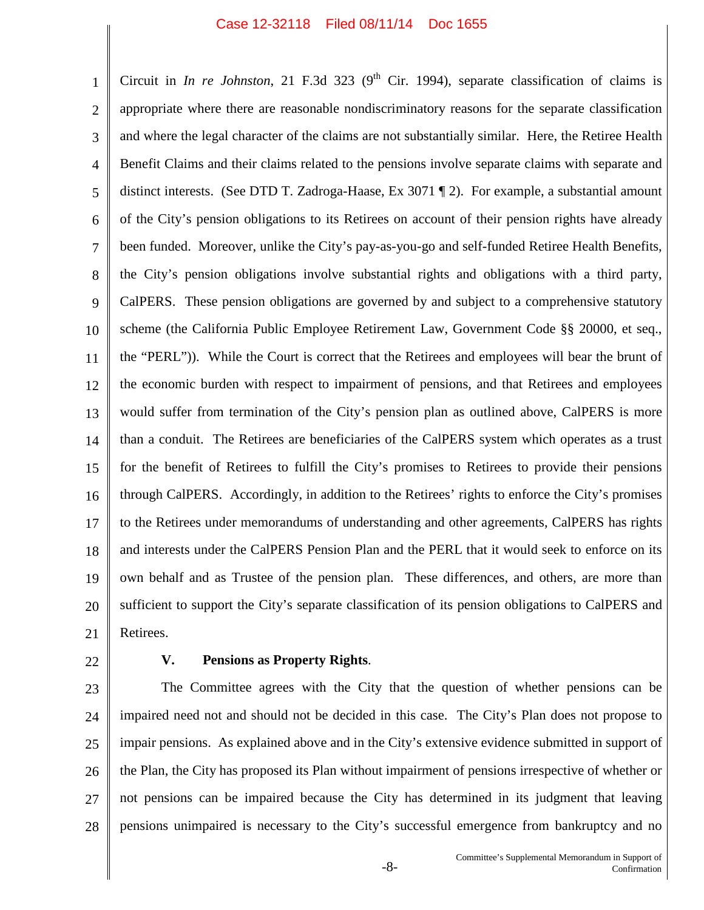1 2 3 4 5 6 7 8 9 10 11 12 13 14 15 16 17 18 19 20 21 Circuit in *In re Johnston*, 21 F.3d 323 ( $9<sup>th</sup>$  Cir. 1994), separate classification of claims is appropriate where there are reasonable nondiscriminatory reasons for the separate classification and where the legal character of the claims are not substantially similar. Here, the Retiree Health Benefit Claims and their claims related to the pensions involve separate claims with separate and distinct interests. (See DTD T. Zadroga-Haase, Ex 3071 ¶ 2). For example, a substantial amount of the City's pension obligations to its Retirees on account of their pension rights have already been funded. Moreover, unlike the City's pay-as-you-go and self-funded Retiree Health Benefits, the City's pension obligations involve substantial rights and obligations with a third party, CalPERS. These pension obligations are governed by and subject to a comprehensive statutory scheme (the California Public Employee Retirement Law, Government Code §§ 20000, et seq., the "PERL")). While the Court is correct that the Retirees and employees will bear the brunt of the economic burden with respect to impairment of pensions, and that Retirees and employees would suffer from termination of the City's pension plan as outlined above, CalPERS is more than a conduit. The Retirees are beneficiaries of the CalPERS system which operates as a trust for the benefit of Retirees to fulfill the City's promises to Retirees to provide their pensions through CalPERS. Accordingly, in addition to the Retirees' rights to enforce the City's promises to the Retirees under memorandums of understanding and other agreements, CalPERS has rights and interests under the CalPERS Pension Plan and the PERL that it would seek to enforce on its own behalf and as Trustee of the pension plan. These differences, and others, are more than sufficient to support the City's separate classification of its pension obligations to CalPERS and Retirees.

22

# **V. Pensions as Property Rights**.

23 24 25 26 27 28 The Committee agrees with the City that the question of whether pensions can be impaired need not and should not be decided in this case. The City's Plan does not propose to impair pensions. As explained above and in the City's extensive evidence submitted in support of the Plan, the City has proposed its Plan without impairment of pensions irrespective of whether or not pensions can be impaired because the City has determined in its judgment that leaving pensions unimpaired is necessary to the City's successful emergence from bankruptcy and no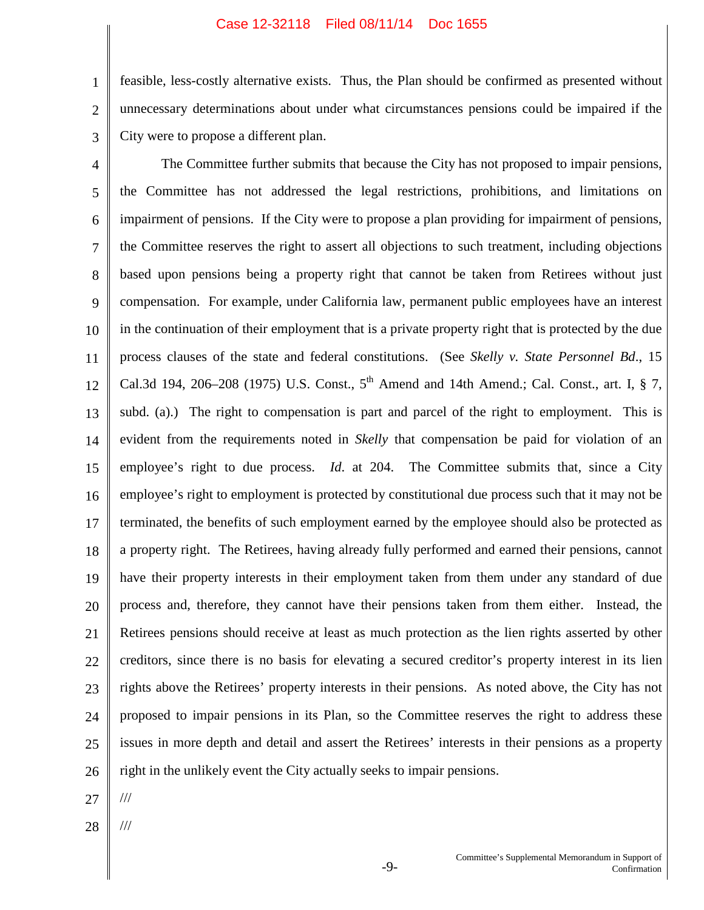1 2 3 feasible, less-costly alternative exists. Thus, the Plan should be confirmed as presented without unnecessary determinations about under what circumstances pensions could be impaired if the City were to propose a different plan.

4 5 6 7 8 9 10 11 12 13 14 15 16 17 18 19 20 21 22 23 24 25 26 The Committee further submits that because the City has not proposed to impair pensions, the Committee has not addressed the legal restrictions, prohibitions, and limitations on impairment of pensions. If the City were to propose a plan providing for impairment of pensions, the Committee reserves the right to assert all objections to such treatment, including objections based upon pensions being a property right that cannot be taken from Retirees without just compensation. For example, under California law, permanent public employees have an interest in the continuation of their employment that is a private property right that is protected by the due process clauses of the state and federal constitutions. (See *Skelly v. State Personnel Bd*., 15 Cal.3d 194, 206–208 (1975) U.S. Const.,  $5^{th}$  Amend and 14th Amend.; Cal. Const., art. I, § 7, subd. (a).) The right to compensation is part and parcel of the right to employment. This is evident from the requirements noted in *Skelly* that compensation be paid for violation of an employee's right to due process. *Id*. at 204. The Committee submits that, since a City employee's right to employment is protected by constitutional due process such that it may not be terminated, the benefits of such employment earned by the employee should also be protected as a property right. The Retirees, having already fully performed and earned their pensions, cannot have their property interests in their employment taken from them under any standard of due process and, therefore, they cannot have their pensions taken from them either. Instead, the Retirees pensions should receive at least as much protection as the lien rights asserted by other creditors, since there is no basis for elevating a secured creditor's property interest in its lien rights above the Retirees' property interests in their pensions. As noted above, the City has not proposed to impair pensions in its Plan, so the Committee reserves the right to address these issues in more depth and detail and assert the Retirees' interests in their pensions as a property right in the unlikely event the City actually seeks to impair pensions.

27

///

///

28